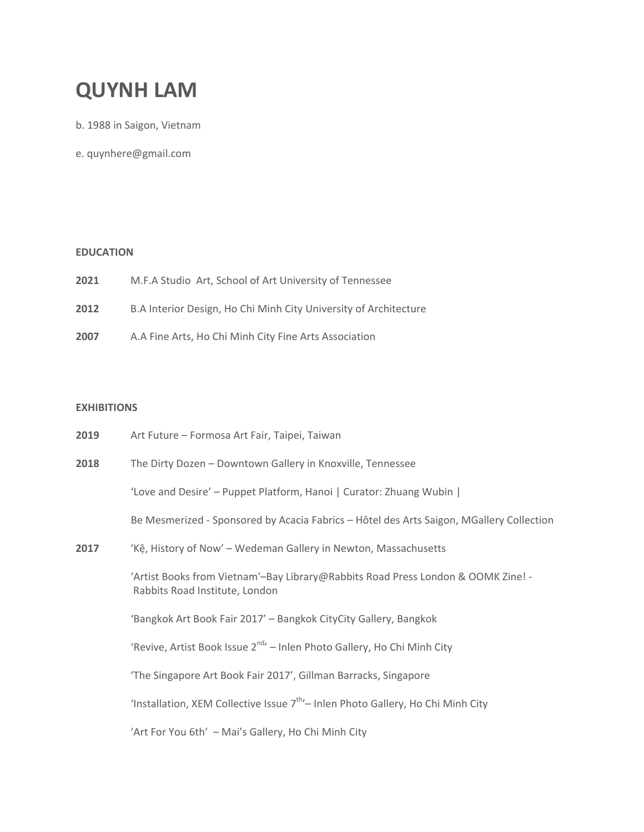# **QUYNH LAM**

b. 1988 in Saigon, Vietnam

e. [quynhere@gmail.com](mailto:quynhere@gmail.com)

# **EDUCATION**

- **2021** M.F.A Studio Art, School of Art University of Tennessee
- **2012** B.A Interior Design, Ho Chi Minh City University of Architecture
- **2007** A.A Fine Arts, Ho Chi Minh City Fine Arts Association

# **EXHIBITIONS**

| 2019 | Art Future - Formosa Art Fair, Taipei, Taiwan                                                                      |
|------|--------------------------------------------------------------------------------------------------------------------|
| 2018 | The Dirty Dozen - Downtown Gallery in Knoxville, Tennessee                                                         |
|      | 'Love and Desire' - Puppet Platform, Hanoi   Curator: Zhuang Wubin                                                 |
|      | Be Mesmerized - Sponsored by Acacia Fabrics - Hôtel des Arts Saigon, MGallery Collection                           |
| 2017 | 'Kệ, History of Now' - Wedeman Gallery in Newton, Massachusetts                                                    |
|      | 'Artist Books from Vietnam'-Bay Library@Rabbits Road Press London & OOMK Zine! -<br>Rabbits Road Institute, London |
|      | 'Bangkok Art Book Fair 2017' - Bangkok CityCity Gallery, Bangkok                                                   |
|      | 'Revive, Artist Book Issue 2 <sup>nd</sup> ' - Inlen Photo Gallery, Ho Chi Minh City                               |
|      | 'The Singapore Art Book Fair 2017', Gillman Barracks, Singapore                                                    |
|      | 'Installation, XEM Collective Issue 7 <sup>th</sup> '- Inlen Photo Gallery, Ho Chi Minh City                       |
|      | 'Art For You 6th' - Mai's Gallery, Ho Chi Minh City                                                                |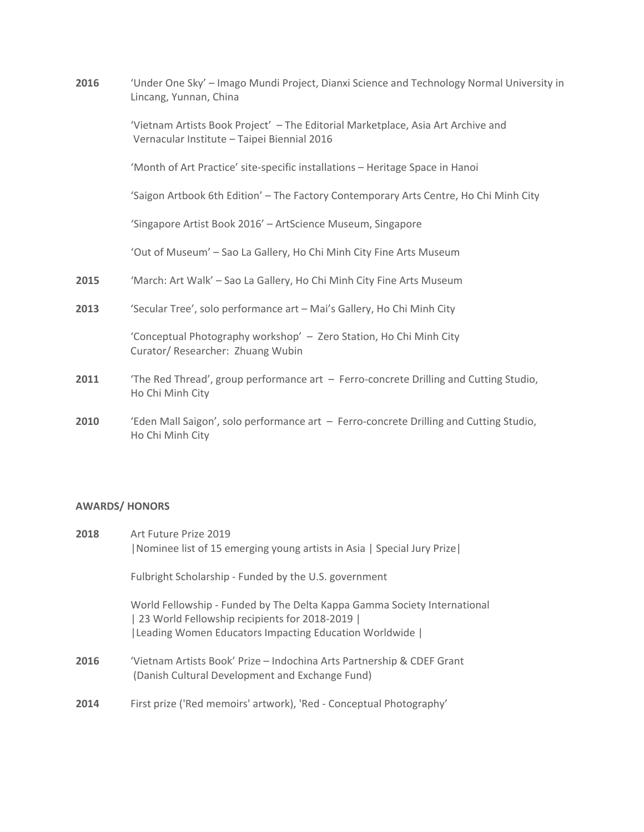| 2016 | 'Under One Sky' - Imago Mundi Project, Dianxi Science and Technology Normal University in<br>Lincang, Yunnan, China             |
|------|---------------------------------------------------------------------------------------------------------------------------------|
|      | 'Vietnam Artists Book Project' - The Editorial Marketplace, Asia Art Archive and<br>Vernacular Institute - Taipei Biennial 2016 |
|      | 'Month of Art Practice' site-specific installations - Heritage Space in Hanoi                                                   |
|      | 'Saigon Artbook 6th Edition' - The Factory Contemporary Arts Centre, Ho Chi Minh City                                           |
|      | 'Singapore Artist Book 2016' - ArtScience Museum, Singapore                                                                     |
|      | 'Out of Museum' - Sao La Gallery, Ho Chi Minh City Fine Arts Museum                                                             |
| 2015 | 'March: Art Walk' - Sao La Gallery, Ho Chi Minh City Fine Arts Museum                                                           |
| 2013 | 'Secular Tree', solo performance art - Mai's Gallery, Ho Chi Minh City                                                          |
|      | 'Conceptual Photography workshop' - Zero Station, Ho Chi Minh City<br>Curator/ Researcher: Zhuang Wubin                         |
| 2011 | 'The Red Thread', group performance art - Ferro-concrete Drilling and Cutting Studio,<br>Ho Chi Minh City                       |
| 2010 | 'Eden Mall Saigon', solo performance art - Ferro-concrete Drilling and Cutting Studio,<br>Ho Chi Minh City                      |

# **AWARDS/ HONORS**

| 2018 | Art Future Prize 2019<br> Nominee list of 15 emerging young artists in Asia   Special Jury Prize                                                                                        |
|------|-----------------------------------------------------------------------------------------------------------------------------------------------------------------------------------------|
|      | Fulbright Scholarship - Funded by the U.S. government                                                                                                                                   |
|      | World Fellowship - Funded by The Delta Kappa Gamma Society International<br>  23 World Fellowship recipients for 2018-2019  <br>  Leading Women Educators Impacting Education Worldwide |
| 2016 | 'Vietnam Artists Book' Prize – Indochina Arts Partnership & CDEF Grant<br>(Danish Cultural Development and Exchange Fund)                                                               |
| 2014 | First prize ('Red memoirs' artwork), 'Red - Conceptual Photography'                                                                                                                     |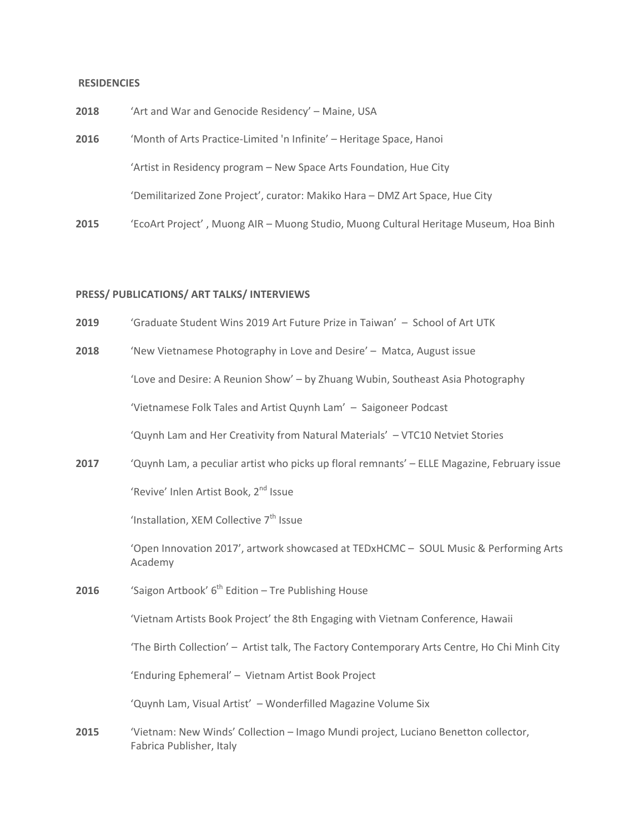#### **RESIDENCIES**

| 2018 | 'Art and War and Genocide Residency' - Maine, USA                                    |
|------|--------------------------------------------------------------------------------------|
| 2016 | 'Month of Arts Practice-Limited 'n Infinite' - Heritage Space, Hanoi                 |
|      | 'Artist in Residency program – New Space Arts Foundation, Hue City                   |
|      | 'Demilitarized Zone Project', curator: Makiko Hara - DMZ Art Space, Hue City         |
| 2015 | 'EcoArt Project', Muong AIR – Muong Studio, Muong Cultural Heritage Museum, Hoa Binh |

### **PRESS/ PUBLICATIONS/ ART TALKS/ INTERVIEWS**

**2019** ['Graduate](https://art.utk.edu/graduate-student-wins-2019-art-future-prize-in-taiwan/) Student Wins 2019 Art Future Prize in Taiwan' – School of Art UTK

**2018** 'New Vietnamese [Photography](https://matca.vn/en/sang-tac-tre-voi-tinh-yeu-va-khao-khat/) in Love and Desire' – Matca, August issue

'Love and Desire: A [Reunion](https://zwubin.wordpress.com/2018/08/13/love-and-desire-a-reunion-show-tinh-yeu-va-khao-khat-trien-lam-tai-hop/) Show' – by Zhuang Wubin, Southeast Asia Photography

['Vietnamese](https://soundcloud.com/saigoneer/vietnamese-folk-tales-and-artist-quynh-lam) Folk Tales and Artist Quynh Lam' – [Saigoneer](https://saigoneer.com/saigon-arts-culture/arts-culture-categories/13446-saigoneer-podcast-vietnamese-folk-tales-and-artist-quynh-lam) Podcast

'Quynh Lam and Her Creativity from Natural [Materials'](http://vn.tvnet.gov.vn/video/124105/143062/quynh-lam-va-nhung-sang-tao-tu-chat-lieu-tu-nhien) – VTC10 Netviet Stories

**2017** 'Quynh Lam, a peculiar artist who picks up floral [remnants'](http://www.elle.vn/nguoi-noi-tieng/quynh-lam-ke-lap-di-khi-chuyen-di-nhat-nhanh-hoa-tan) – ELLE Magazine, February issue

'Revive' Inlen Artist Book, 2<sup>nd</sup> Issue

['Installation,](http://galeriequynh.com/news/xem-inlen-gallery-ho-chi-minh-city-vietnam-january-14-2017/) XEM Collective 7<sup>th</sup> Issue

 'Open Innovation 2017', artwork showcased at TEDxHCMC – SOUL Music & Performing Arts Academy

**2016** 'Saigon [Artbook'](http://e.vnexpress.net/news/travel-life/what-s-on/saigon-artbook-festival-2016-3472869.html) 6<sup>th</sup> Edition – Tre Publishing House

'Vietnam Artists Book Project' the 8th Engaging with Vietnam Conference, Hawaii

'The Birth Collection' – Artist talk, The Factory Contemporary Arts Centre, Ho Chi Minh City

'Enduring Ephemeral' – Vietnam Artist Book Project

['Quynh](https://issuu.com/wonderfilledmag/docs/wonderfilled_volume_six) Lam, Visual Artist' – Wonderfilled Magazine Volume Six

**2015** ['Vietnam:](http://www.imagomundiart.com/artworks/nguyen-duc-diem-quynh-untitled) New Winds' Collection – Imago Mundi [project,](http://www.imagomundiart.com/collections/vietnam-new-winds) Luciano Benetton collector, Fabrica Publisher, Italy